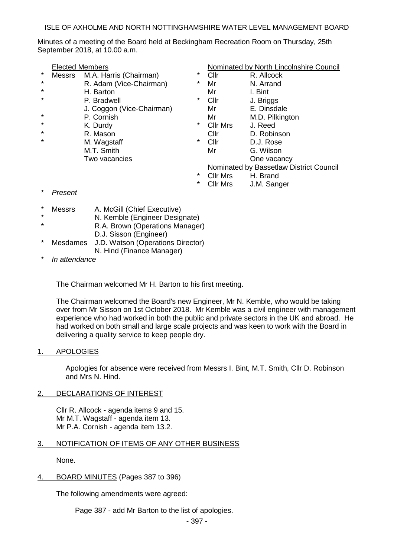ISLE OF AXHOLME AND NORTH NOTTINGHAMSHIRE WATER LEVEL MANAGEMENT BOARD

Minutes of a meeting of the Board held at Beckingham Recreation Room on Thursday, 25th September 2018, at 10.00 a.m.

|          | <b>Elected Members</b>   |                           |         | Nominated by North Lincolnshire Council |                 |
|----------|--------------------------|---------------------------|---------|-----------------------------------------|-----------------|
| $^\star$ | <b>Messrs</b>            | M.A. Harris (Chairman)    | *       | Cllr                                    | R. Allcock      |
| $\star$  |                          | R. Adam (Vice-Chairman)   | $\star$ | Mr                                      | N. Arrand       |
| $\star$  |                          | H. Barton                 |         | Mr                                      | I. Bint         |
| $\star$  |                          | P. Bradwell               | *       | Cllr                                    | J. Briggs       |
|          |                          | J. Coggon (Vice-Chairman) |         | Mr                                      | E. Dinsdale     |
| $\star$  |                          | P. Cornish                |         | Mr                                      | M.D. Pilkington |
| $\star$  |                          | K. Durdy                  | $\star$ | <b>Cllr Mrs</b>                         | J. Reed         |
| $\star$  |                          | R. Mason                  |         | Cllr                                    | D. Robinson     |
| $\star$  |                          | M. Wagstaff               | *       | Cllr                                    | D.J. Rose       |
|          |                          | M.T. Smith                |         | Mr                                      | G. Wilson       |
|          |                          | Two vacancies             |         |                                         | One vacancy     |
|          |                          |                           |         | Nominated by Bassetlaw District Council |                 |
|          |                          |                           | *       | <b>Cllr Mrs</b>                         | H. Brand        |
|          |                          |                           | *       | <b>Cllr Mrs</b>                         | J.M. Sanger     |
|          | $\overline{\phantom{0}}$ |                           |         |                                         |                 |

- $P$ *resent*
- Messrs A. McGill (Chief Executive)
	- N. Kemble (Engineer Designate)
- R.A. Brown (Operations Manager)
- D.J. Sisson (Engineer)
- Mesdames J.D. Watson (Operations Director) N. Hind (Finance Manager)
- In attendance

The Chairman welcomed Mr H. Barton to his first meeting.

The Chairman welcomed the Board's new Engineer, Mr N. Kemble, who would be taking over from Mr Sisson on 1st October 2018. Mr Kemble was a civil engineer with management experience who had worked in both the public and private sectors in the UK and abroad. He had worked on both small and large scale projects and was keen to work with the Board in delivering a quality service to keep people dry.

1. APOLOGIES

Apologies for absence were received from Messrs I. Bint, M.T. Smith, Cllr D. Robinson and Mrs N. Hind.

## 2. DECLARATIONS OF INTEREST

Cllr R. Allcock - agenda items 9 and 15. Mr M.T. Wagstaff - agenda item 13. Mr P.A. Cornish - agenda item 13.2.

3. NOTIFICATION OF ITEMS OF ANY OTHER BUSINESS

None.

4. BOARD MINUTES (Pages 387 to 396)

The following amendments were agreed:

Page 387 - add Mr Barton to the list of apologies.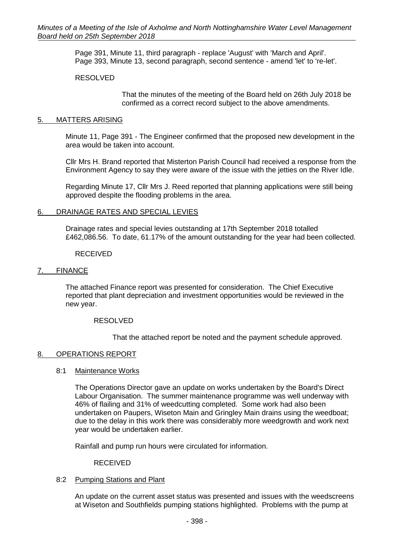Page 391, Minute 11, third paragraph - replace 'August' with 'March and April'. Page 393, Minute 13, second paragraph, second sentence - amend 'let' to 're-let'.

## RESOLVED

That the minutes of the meeting of the Board held on 26th July 2018 be confirmed as a correct record subject to the above amendments.

# 5. MATTERS ARISING

Minute 11, Page 391 - The Engineer confirmed that the proposed new development in the area would be taken into account.

Cllr Mrs H. Brand reported that Misterton Parish Council had received a response from the Environment Agency to say they were aware of the issue with the jetties on the River Idle.

Regarding Minute 17, Cllr Mrs J. Reed reported that planning applications were still being approved despite the flooding problems in the area.

## 6. DRAINAGE RATES AND SPECIAL LEVIES

Drainage rates and special levies outstanding at 17th September 2018 totalled £462,086.56. To date, 61.17% of the amount outstanding for the year had been collected.

### RECEIVED

## 7. FINANCE

The attached Finance report was presented for consideration. The Chief Executive reported that plant depreciation and investment opportunities would be reviewed in the new year.

## RESOLVED

That the attached report be noted and the payment schedule approved.

## 8. OPERATIONS REPORT

### 8:1 Maintenance Works

The Operations Director gave an update on works undertaken by the Board's Direct Labour Organisation. The summer maintenance programme was well underway with 46% of flailing and 31% of weedcutting completed. Some work had also been undertaken on Paupers, Wiseton Main and Gringley Main drains using the weedboat; due to the delay in this work there was considerably more weedgrowth and work next year would be undertaken earlier.

Rainfall and pump run hours were circulated for information.

### RECEIVED

## 8:2 Pumping Stations and Plant

An update on the current asset status was presented and issues with the weedscreens at Wiseton and Southfields pumping stations highlighted. Problems with the pump at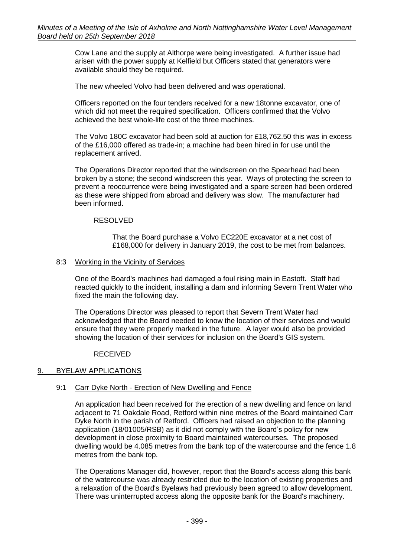Cow Lane and the supply at Althorpe were being investigated. A further issue had arisen with the power supply at Kelfield but Officers stated that generators were available should they be required.

The new wheeled Volvo had been delivered and was operational.

Officers reported on the four tenders received for a new 18tonne excavator, one of which did not meet the required specification. Officers confirmed that the Volvo achieved the best whole-life cost of the three machines.

The Volvo 180C excavator had been sold at auction for £18,762.50 this was in excess of the £16,000 offered as trade-in; a machine had been hired in for use until the replacement arrived.

The Operations Director reported that the windscreen on the Spearhead had been broken by a stone; the second windscreen this year. Ways of protecting the screen to prevent a reoccurrence were being investigated and a spare screen had been ordered as these were shipped from abroad and delivery was slow. The manufacturer had been informed.

### RESOLVED

That the Board purchase a Volvo EC220E excavator at a net cost of £168,000 for delivery in January 2019, the cost to be met from balances.

### 8:3 Working in the Vicinity of Services

One of the Board's machines had damaged a foul rising main in Eastoft. Staff had reacted quickly to the incident, installing a dam and informing Severn Trent Water who fixed the main the following day.

The Operations Director was pleased to report that Severn Trent Water had acknowledged that the Board needed to know the location of their services and would ensure that they were properly marked in the future. A layer would also be provided showing the location of their services for inclusion on the Board's GIS system.

## RECEIVED

## 9. BYELAW APPLICATIONS

## 9:1 Carr Dyke North - Erection of New Dwelling and Fence

An application had been received for the erection of a new dwelling and fence on land adjacent to 71 Oakdale Road, Retford within nine metres of the Board maintained Carr Dyke North in the parish of Retford. Officers had raised an objection to the planning application (18/01005/RSB) as it did not comply with the Board's policy for new development in close proximity to Board maintained watercourses. The proposed dwelling would be 4.085 metres from the bank top of the watercourse and the fence 1.8 metres from the bank top.

The Operations Manager did, however, report that the Board's access along this bank of the watercourse was already restricted due to the location of existing properties and a relaxation of the Board's Byelaws had previously been agreed to allow development. There was uninterrupted access along the opposite bank for the Board's machinery.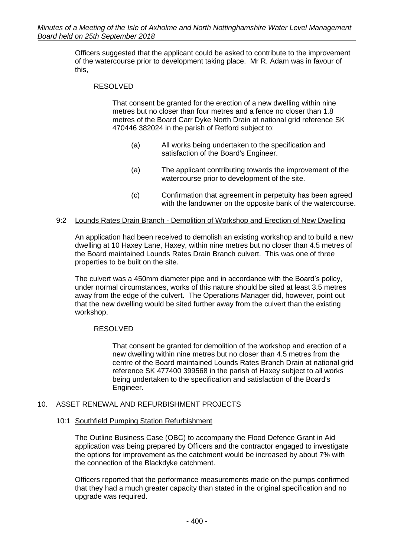Officers suggested that the applicant could be asked to contribute to the improvement of the watercourse prior to development taking place. Mr R. Adam was in favour of this,

## RESOLVED

That consent be granted for the erection of a new dwelling within nine metres but no closer than four metres and a fence no closer than 1.8 metres of the Board Carr Dyke North Drain at national grid reference SK 470446 382024 in the parish of Retford subject to:

- (a) All works being undertaken to the specification and satisfaction of the Board's Engineer.
- (a) The applicant contributing towards the improvement of the watercourse prior to development of the site.
- (c) Confirmation that agreement in perpetuity has been agreed with the landowner on the opposite bank of the watercourse.

## 9:2 Lounds Rates Drain Branch - Demolition of Workshop and Erection of New Dwelling

An application had been received to demolish an existing workshop and to build a new dwelling at 10 Haxey Lane, Haxey, within nine metres but no closer than 4.5 metres of the Board maintained Lounds Rates Drain Branch culvert. This was one of three properties to be built on the site.

The culvert was a 450mm diameter pipe and in accordance with the Board's policy, under normal circumstances, works of this nature should be sited at least 3.5 metres away from the edge of the culvert. The Operations Manager did, however, point out that the new dwelling would be sited further away from the culvert than the existing workshop.

## RESOLVED

That consent be granted for demolition of the workshop and erection of a new dwelling within nine metres but no closer than 4.5 metres from the centre of the Board maintained Lounds Rates Branch Drain at national grid reference SK 477400 399568 in the parish of Haxey subject to all works being undertaken to the specification and satisfaction of the Board's Engineer.

## 10. ASSET RENEWAL AND REFURBISHMENT PROJECTS

## 10:1 Southfield Pumping Station Refurbishment

The Outline Business Case (OBC) to accompany the Flood Defence Grant in Aid application was being prepared by Officers and the contractor engaged to investigate the options for improvement as the catchment would be increased by about 7% with the connection of the Blackdyke catchment.

Officers reported that the performance measurements made on the pumps confirmed that they had a much greater capacity than stated in the original specification and no upgrade was required.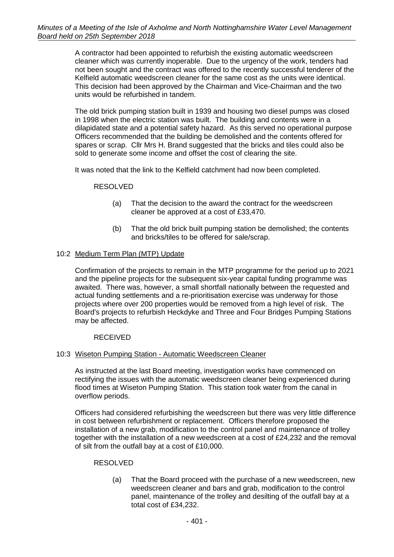A contractor had been appointed to refurbish the existing automatic weedscreen cleaner which was currently inoperable. Due to the urgency of the work, tenders had not been sought and the contract was offered to the recently successful tenderer of the Kelfield automatic weedscreen cleaner for the same cost as the units were identical. This decision had been approved by the Chairman and Vice-Chairman and the two units would be refurbished in tandem.

The old brick pumping station built in 1939 and housing two diesel pumps was closed in 1998 when the electric station was built. The building and contents were in a dilapidated state and a potential safety hazard. As this served no operational purpose Officers recommended that the building be demolished and the contents offered for spares or scrap. Cllr Mrs H. Brand suggested that the bricks and tiles could also be sold to generate some income and offset the cost of clearing the site.

It was noted that the link to the Kelfield catchment had now been completed.

# RESOLVED

- (a) That the decision to the award the contract for the weedscreen cleaner be approved at a cost of £33,470.
- (b) That the old brick built pumping station be demolished; the contents and bricks/tiles to be offered for sale/scrap.

# 10:2 Medium Term Plan (MTP) Update

Confirmation of the projects to remain in the MTP programme for the period up to 2021 and the pipeline projects for the subsequent six-year capital funding programme was awaited. There was, however, a small shortfall nationally between the requested and actual funding settlements and a re-prioritisation exercise was underway for those projects where over 200 properties would be removed from a high level of risk. The Board's projects to refurbish Heckdyke and Three and Four Bridges Pumping Stations may be affected.

## RECEIVED

## 10:3 Wiseton Pumping Station - Automatic Weedscreen Cleaner

As instructed at the last Board meeting, investigation works have commenced on rectifying the issues with the automatic weedscreen cleaner being experienced during flood times at Wiseton Pumping Station. This station took water from the canal in overflow periods.

Officers had considered refurbishing the weedscreen but there was very little difference in cost between refurbishment or replacement. Officers therefore proposed the installation of a new grab, modification to the control panel and maintenance of trolley together with the installation of a new weedscreen at a cost of £24,232 and the removal of silt from the outfall bay at a cost of £10,000.

## RESOLVED

(a) That the Board proceed with the purchase of a new weedscreen, new weedscreen cleaner and bars and grab, modification to the control panel, maintenance of the trolley and desilting of the outfall bay at a total cost of £34,232.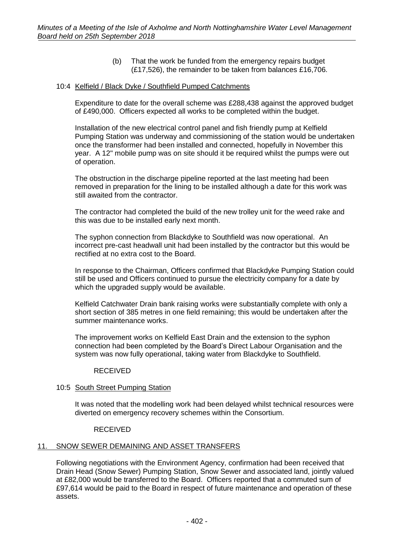(b) That the work be funded from the emergency repairs budget (£17,526), the remainder to be taken from balances £16,706.

### 10:4 Kelfield / Black Dyke / Southfield Pumped Catchments

Expenditure to date for the overall scheme was £288,438 against the approved budget of £490,000. Officers expected all works to be completed within the budget.

Installation of the new electrical control panel and fish friendly pump at Kelfield Pumping Station was underway and commissioning of the station would be undertaken once the transformer had been installed and connected, hopefully in November this year. A 12" mobile pump was on site should it be required whilst the pumps were out of operation.

The obstruction in the discharge pipeline reported at the last meeting had been removed in preparation for the lining to be installed although a date for this work was still awaited from the contractor.

The contractor had completed the build of the new trolley unit for the weed rake and this was due to be installed early next month.

The syphon connection from Blackdyke to Southfield was now operational. An incorrect pre-cast headwall unit had been installed by the contractor but this would be rectified at no extra cost to the Board.

In response to the Chairman, Officers confirmed that Blackdyke Pumping Station could still be used and Officers continued to pursue the electricity company for a date by which the upgraded supply would be available.

Kelfield Catchwater Drain bank raising works were substantially complete with only a short section of 385 metres in one field remaining; this would be undertaken after the summer maintenance works.

The improvement works on Kelfield East Drain and the extension to the syphon connection had been completed by the Board's Direct Labour Organisation and the system was now fully operational, taking water from Blackdyke to Southfield.

### RECEIVED

## 10:5 South Street Pumping Station

It was noted that the modelling work had been delayed whilst technical resources were diverted on emergency recovery schemes within the Consortium.

### RECEIVED

## 11. SNOW SEWER DEMAINING AND ASSET TRANSFERS

Following negotiations with the Environment Agency, confirmation had been received that Drain Head (Snow Sewer) Pumping Station, Snow Sewer and associated land, jointly valued at £82,000 would be transferred to the Board. Officers reported that a commuted sum of £97,614 would be paid to the Board in respect of future maintenance and operation of these assets.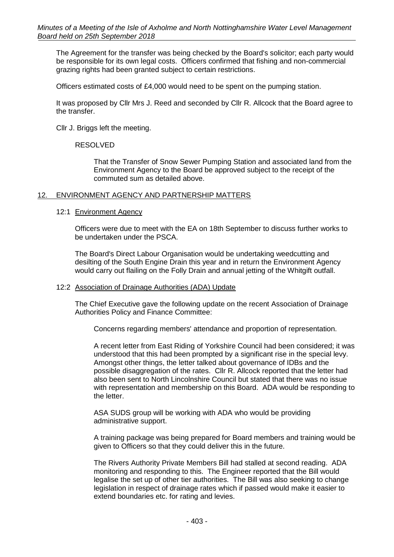The Agreement for the transfer was being checked by the Board's solicitor; each party would be responsible for its own legal costs. Officers confirmed that fishing and non-commercial grazing rights had been granted subject to certain restrictions.

Officers estimated costs of £4,000 would need to be spent on the pumping station.

It was proposed by Cllr Mrs J. Reed and seconded by Cllr R. Allcock that the Board agree to the transfer.

Cllr J. Briggs left the meeting.

RESOLVED

That the Transfer of Snow Sewer Pumping Station and associated land from the Environment Agency to the Board be approved subject to the receipt of the commuted sum as detailed above.

### 12. ENVIRONMENT AGENCY AND PARTNERSHIP MATTERS

### 12:1 Environment Agency

Officers were due to meet with the EA on 18th September to discuss further works to be undertaken under the PSCA.

The Board's Direct Labour Organisation would be undertaking weedcutting and desilting of the South Engine Drain this year and in return the Environment Agency would carry out flailing on the Folly Drain and annual jetting of the Whitgift outfall.

### 12:2 Association of Drainage Authorities (ADA) Update

The Chief Executive gave the following update on the recent Association of Drainage Authorities Policy and Finance Committee:

Concerns regarding members' attendance and proportion of representation.

A recent letter from East Riding of Yorkshire Council had been considered; it was understood that this had been prompted by a significant rise in the special levy. Amongst other things, the letter talked about governance of IDBs and the possible disaggregation of the rates. Cllr R. Allcock reported that the letter had also been sent to North Lincolnshire Council but stated that there was no issue with representation and membership on this Board. ADA would be responding to the letter.

ASA SUDS group will be working with ADA who would be providing administrative support.

A training package was being prepared for Board members and training would be given to Officers so that they could deliver this in the future.

The Rivers Authority Private Members Bill had stalled at second reading. ADA monitoring and responding to this. The Engineer reported that the Bill would legalise the set up of other tier authorities. The Bill was also seeking to change legislation in respect of drainage rates which if passed would make it easier to extend boundaries etc. for rating and levies.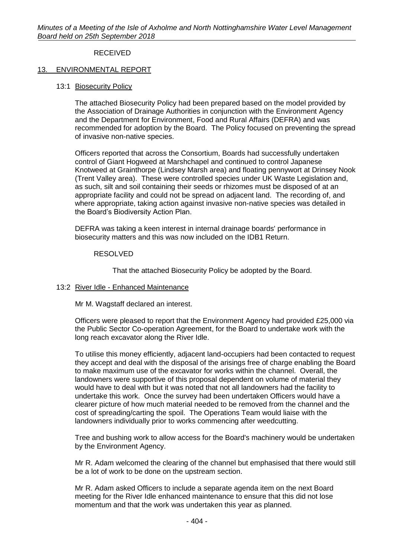# RECEIVED

### 13. ENVIRONMENTAL REPORT

13:1 Biosecurity Policy

The attached Biosecurity Policy had been prepared based on the model provided by the Association of Drainage Authorities in conjunction with the Environment Agency and the Department for Environment, Food and Rural Affairs (DEFRA) and was recommended for adoption by the Board. The Policy focused on preventing the spread of invasive non-native species.

Officers reported that across the Consortium, Boards had successfully undertaken control of Giant Hogweed at Marshchapel and continued to control Japanese Knotweed at Grainthorpe (Lindsey Marsh area) and floating pennywort at Drinsey Nook (Trent Valley area). These were controlled species under UK Waste Legislation and, as such, silt and soil containing their seeds or rhizomes must be disposed of at an appropriate facility and could not be spread on adjacent land. The recording of, and where appropriate, taking action against invasive non-native species was detailed in the Board's Biodiversity Action Plan.

DEFRA was taking a keen interest in internal drainage boards' performance in biosecurity matters and this was now included on the IDB1 Return.

### RESOLVED

That the attached Biosecurity Policy be adopted by the Board.

### 13:2 River Idle - Enhanced Maintenance

Mr M. Wagstaff declared an interest.

Officers were pleased to report that the Environment Agency had provided £25,000 via the Public Sector Co-operation Agreement, for the Board to undertake work with the long reach excavator along the River Idle.

To utilise this money efficiently, adjacent land-occupiers had been contacted to request they accept and deal with the disposal of the arisings free of charge enabling the Board to make maximum use of the excavator for works within the channel. Overall, the landowners were supportive of this proposal dependent on volume of material they would have to deal with but it was noted that not all landowners had the facility to undertake this work. Once the survey had been undertaken Officers would have a clearer picture of how much material needed to be removed from the channel and the cost of spreading/carting the spoil. The Operations Team would liaise with the landowners individually prior to works commencing after weedcutting.

Tree and bushing work to allow access for the Board's machinery would be undertaken by the Environment Agency.

Mr R. Adam welcomed the clearing of the channel but emphasised that there would still be a lot of work to be done on the upstream section.

Mr R. Adam asked Officers to include a separate agenda item on the next Board meeting for the River Idle enhanced maintenance to ensure that this did not lose momentum and that the work was undertaken this year as planned.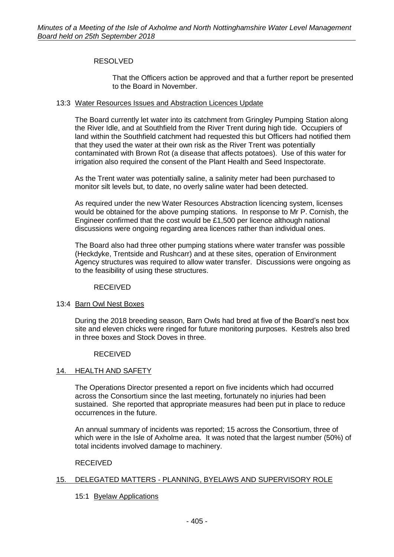## RESOLVED

That the Officers action be approved and that a further report be presented to the Board in November.

### 13:3 Water Resources Issues and Abstraction Licences Update

The Board currently let water into its catchment from Gringley Pumping Station along the River Idle, and at Southfield from the River Trent during high tide. Occupiers of land within the Southfield catchment had requested this but Officers had notified them that they used the water at their own risk as the River Trent was potentially contaminated with Brown Rot (a disease that affects potatoes). Use of this water for irrigation also required the consent of the Plant Health and Seed Inspectorate.

As the Trent water was potentially saline, a salinity meter had been purchased to monitor silt levels but, to date, no overly saline water had been detected.

As required under the new Water Resources Abstraction licencing system, licenses would be obtained for the above pumping stations. In response to Mr P. Cornish, the Engineer confirmed that the cost would be £1,500 per licence although national discussions were ongoing regarding area licences rather than individual ones.

The Board also had three other pumping stations where water transfer was possible (Heckdyke, Trentside and Rushcarr) and at these sites, operation of Environment Agency structures was required to allow water transfer. Discussions were ongoing as to the feasibility of using these structures.

### RECEIVED

## 13:4 Barn Owl Nest Boxes

During the 2018 breeding season, Barn Owls had bred at five of the Board's nest box site and eleven chicks were ringed for future monitoring purposes. Kestrels also bred in three boxes and Stock Doves in three.

## RECEIVED

## 14. HEALTH AND SAFETY

The Operations Director presented a report on five incidents which had occurred across the Consortium since the last meeting, fortunately no injuries had been sustained. She reported that appropriate measures had been put in place to reduce occurrences in the future.

An annual summary of incidents was reported; 15 across the Consortium, three of which were in the Isle of Axholme area. It was noted that the largest number (50%) of total incidents involved damage to machinery.

### RECEIVED

## 15. DELEGATED MATTERS - PLANNING, BYELAWS AND SUPERVISORY ROLE

## 15:1 Byelaw Applications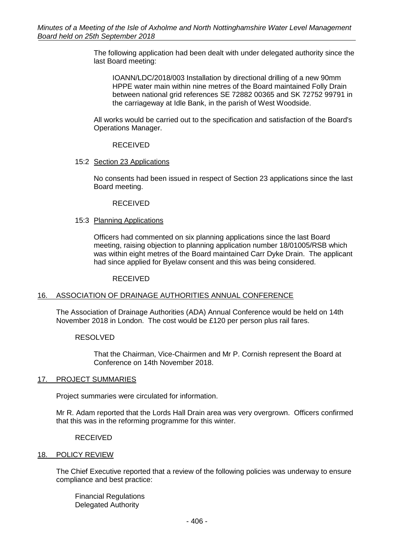The following application had been dealt with under delegated authority since the last Board meeting:

IOANN/LDC/2018/003 Installation by directional drilling of a new 90mm HPPE water main within nine metres of the Board maintained Folly Drain between national grid references SE 72882 00365 and SK 72752 99791 in the carriageway at Idle Bank, in the parish of West Woodside.

All works would be carried out to the specification and satisfaction of the Board's Operations Manager.

RECEIVED

### 15:2 Section 23 Applications

No consents had been issued in respect of Section 23 applications since the last Board meeting.

### RECEIVED

### 15:3 Planning Applications

Officers had commented on six planning applications since the last Board meeting, raising objection to planning application number 18/01005/RSB which was within eight metres of the Board maintained Carr Dyke Drain. The applicant had since applied for Byelaw consent and this was being considered.

### RECEIVED

## 16. ASSOCIATION OF DRAINAGE AUTHORITIES ANNUAL CONFERENCE

The Association of Drainage Authorities (ADA) Annual Conference would be held on 14th November 2018 in London. The cost would be £120 per person plus rail fares.

## RESOLVED

That the Chairman, Vice-Chairmen and Mr P. Cornish represent the Board at Conference on 14th November 2018.

### 17. PROJECT SUMMARIES

Project summaries were circulated for information.

Mr R. Adam reported that the Lords Hall Drain area was very overgrown. Officers confirmed that this was in the reforming programme for this winter.

### RECEIVED

### 18. POLICY REVIEW

The Chief Executive reported that a review of the following policies was underway to ensure compliance and best practice:

Financial Regulations Delegated Authority